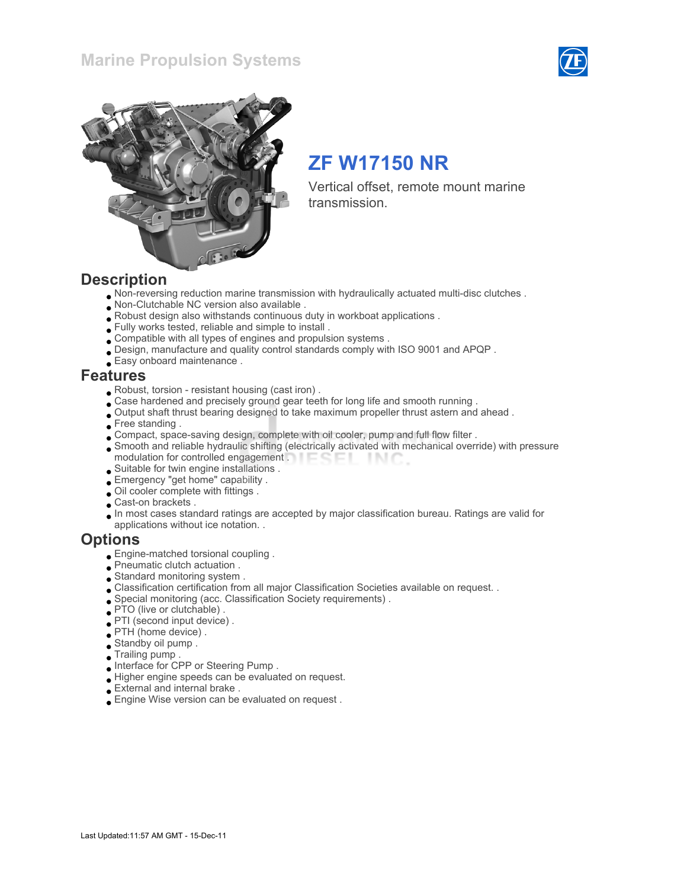### Marine Propulsion Systems





# ZF W17150 NR

Vertical offset, remote mount marine transmission.

### **Description**

- Non-reversing reduction marine transmission with hydraulically actuated multi-disc clutches .
- Non-Clutchable NC version also available .
- Robust design also withstands continuous duty in workboat applications .
- Fully works tested, reliable and simple to install .
- Compatible with all types of engines and propulsion systems .
- Design, manufacture and quality control standards comply with ISO 9001 and APQP .
- Easy onboard maintenance .

### Features

- Robust, torsion resistant housing (cast iron) .
- Case hardened and precisely ground gear teeth for long life and smooth running .
- Output shaft thrust bearing designed to take maximum propeller thrust astern and ahead .
- Free standing.
- Compact, space-saving design, complete with oil cooler, pump and full flow filter .
- Smooth and reliable hydraulic shifting (electrically activated with mechanical override) with pressure modulation for controlled engagement **THE COLL** -INC
- Suitable for twin engine installations .
- Emergency "get home" capability .
- Oil cooler complete with fittings .
- Cast-on brackets .
- In most cases standard ratings are accepted by major classification bureau. Ratings are valid for applications without ice notation. .

### **Options**

- Engine-matched torsional coupling .
- Pneumatic clutch actuation .
- Standard monitoring system .
- Classification certification from all major Classification Societies available on request. .
- Special monitoring (acc. Classification Society requirements) .
- PTO (live or clutchable) .
- PTI (second input device) .
- PTH (home device) .
- Standby oil pump .
- Trailing pump .
- Interface for CPP or Steering Pump .
- Higher engine speeds can be evaluated on request.
- External and internal brake .
- Engine Wise version can be evaluated on request .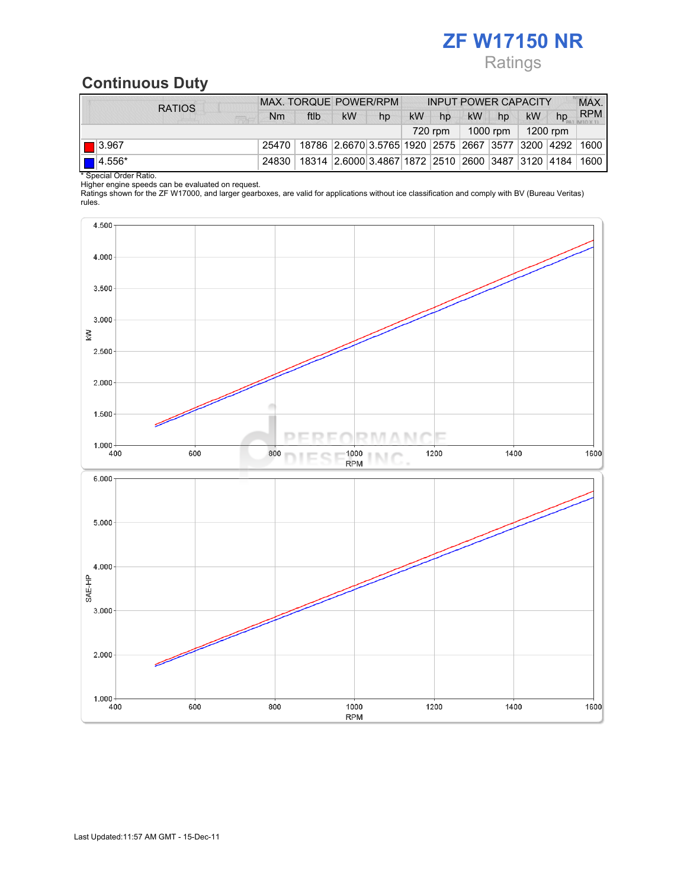# ZF W17150 NR Ratings

## Continuous Duty

| <b>RATIOS</b>                    | <b>MAX. TORQUE POWER/RPM</b> |                                                                                  |           | <b>INPUT POWER CAPACITY</b> |           |    |  |         |           | MAX. |            |
|----------------------------------|------------------------------|----------------------------------------------------------------------------------|-----------|-----------------------------|-----------|----|--|---------|-----------|------|------------|
| <b>FIRM</b>                      | <b>Nm</b>                    | ftlb                                                                             | <b>kW</b> | hp                          | <b>kW</b> | hp |  | $kW$ hp | <b>kW</b> | hp   | <b>RPM</b> |
| $1000$ rpm   1200 rpm<br>720 rpm |                              |                                                                                  |           |                             |           |    |  |         |           |      |            |
| $\boxed{\square}$ 3.967          |                              | 25470   18786   2.6670   3.5765   1920   2575   2667   3577   3200   4292   1600 |           |                             |           |    |  |         |           |      |            |
| $\blacksquare$ 4.556*            |                              | 24830   18314   2.6000 3.4867   1872   2510   2600   3487   3120   4184   1600   |           |                             |           |    |  |         |           |      |            |
| * Special Order Ratio.           |                              |                                                                                  |           |                             |           |    |  |         |           |      |            |

Higher engine speeds can be evaluated on request.

Ratings shown for the ZF W17000, and larger gearboxes, are valid for applications without ice classification and comply with BV (Bureau Veritas) rules.

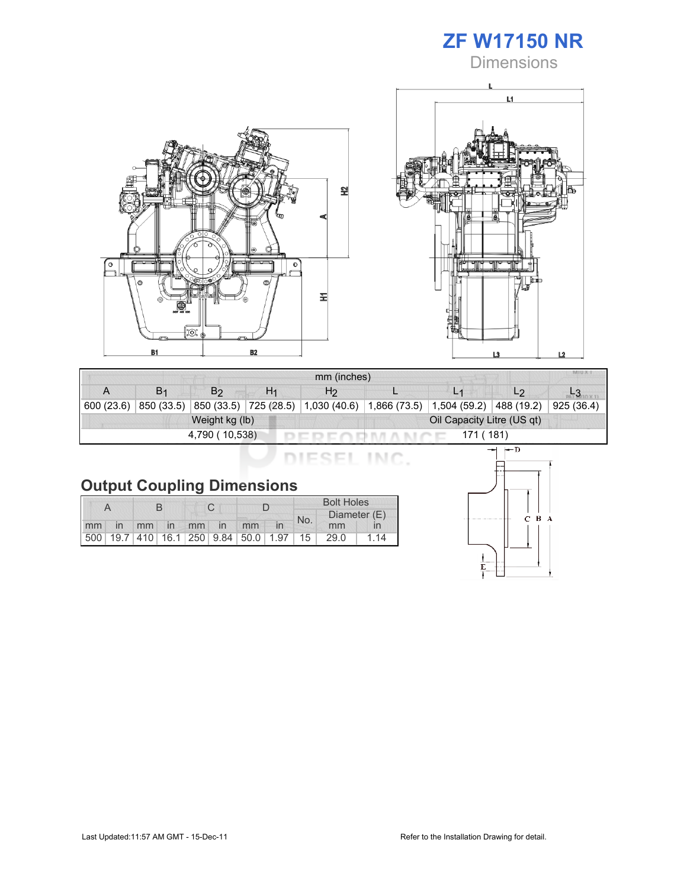

**Dimensions** 





| mm (inches)                  |                |                |    |                                                                                    |  |  |                |            |  |
|------------------------------|----------------|----------------|----|------------------------------------------------------------------------------------|--|--|----------------|------------|--|
|                              | B <sub>1</sub> | B <sub>2</sub> | H1 | H <sub>2</sub>                                                                     |  |  | L <sub>2</sub> |            |  |
| 600(23.6)                    |                |                |    | 850 (33.5) 850 (33.5) 725 (28.5) 1,030 (40.6) 1,866 (73.5) 1,504 (59.2) 488 (19.2) |  |  |                | 925 (36.4) |  |
|                              |                | Weight kg (lb) |    | Oil Capacity Litre (US qt)                                                         |  |  |                |            |  |
| 171 (181)<br>4,790 ( 10,538) |                |                |    |                                                                                    |  |  |                |            |  |

DIESEL INC.

|    |                |             |  |  | <b>Bolt Holes</b>                       |     |              |    |
|----|----------------|-------------|--|--|-----------------------------------------|-----|--------------|----|
|    |                |             |  |  |                                         | No. | Diameter (E) |    |
| mm | $\overline{m}$ | mm in mm in |  |  | mm                                      |     | mm           |    |
|    |                |             |  |  | 500 19.7 410 16.1 250 9.84 50.0 1.97 15 |     | 29.0         | 14 |

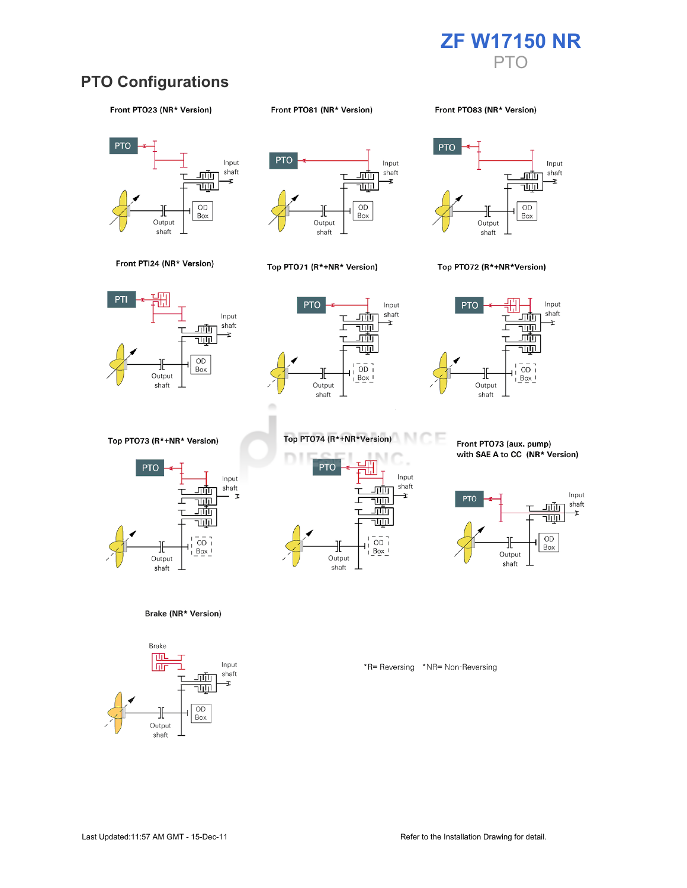

## **PTO Configurations**

#### Front PTO23 (NR\* Version)

#### Front PTO81 (NR\* Version)

Front PT083 (NR\* Version)







#### Top PTO71 (R\*+NR\* Version)



#### Top PTO72 (R\*+NR\*Version)







Top PTO73 (R\*+NR\* Version)



Brake (NR\* Version)





Front PTO73 (aux. pump) with SAE A to CC (NR\* Version)



\*R= Reversing \*NR= Non-Reversing



m